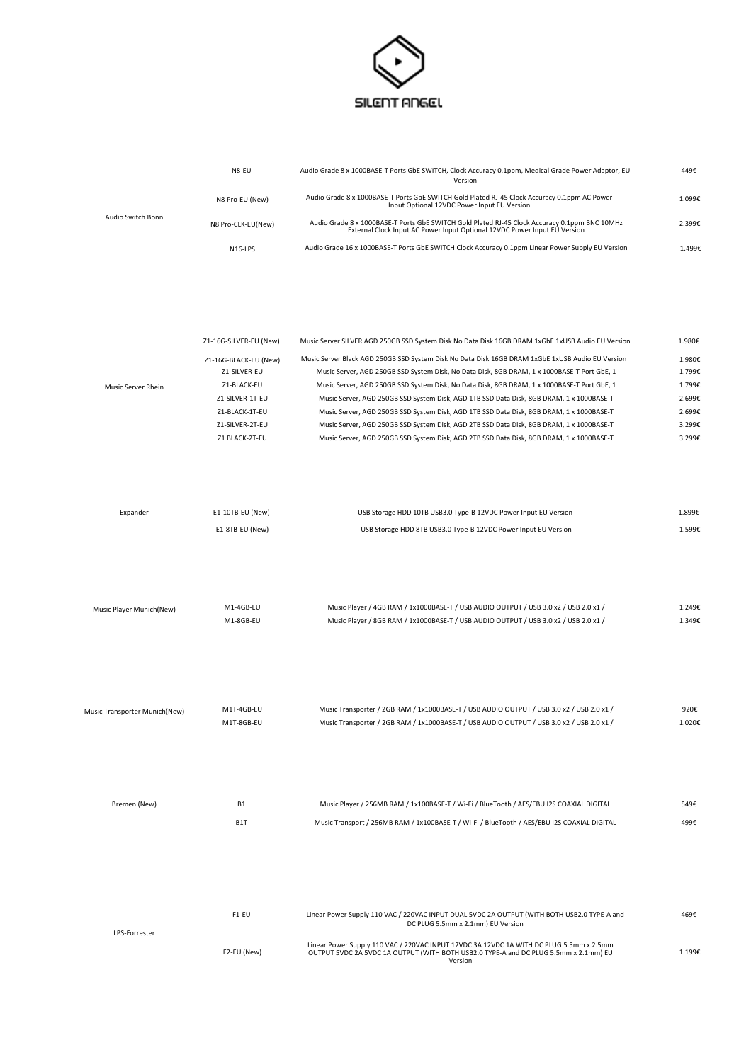

|                   | N8-EU                | Audio Grade 8 x 1000BASE-T Ports GbE SWITCH, Clock Accuracy 0.1ppm, Medical Grade Power Adaptor, EU<br>Version                                                             | 449€   |
|-------------------|----------------------|----------------------------------------------------------------------------------------------------------------------------------------------------------------------------|--------|
| Audio Switch Bonn | N8 Pro-EU (New)      | Audio Grade 8 x 1000BASE-T Ports GbE SWITCH Gold Plated RJ-45 Clock Accuracy 0.1ppm AC Power<br>Input Optional 12VDC Power Input EU Version                                | 1.099€ |
|                   | N8 Pro-CLK-EU(New)   | Audio Grade 8 x 1000BASE-T Ports GbE SWITCH Gold Plated RJ-45 Clock Accuracy 0.1ppm BNC 10MHz<br>External Clock Input AC Power Input Optional 12VDC Power Input EU Version | 2.399€ |
|                   | N <sub>16</sub> -LPS | Audio Grade 16 x 1000BASE-T Ports GbE SWITCH Clock Accuracy 0.1ppm Linear Power Supply EU Version                                                                          | 1.499€ |

|                    | Z1-16G-SILVER-EU (New) | Music Server SILVER AGD 250GB SSD System Disk No Data Disk 16GB DRAM 1xGbE 1xUSB Audio EU Version | 1.980€ |
|--------------------|------------------------|---------------------------------------------------------------------------------------------------|--------|
|                    | Z1-16G-BLACK-EU (New)  | Music Server Black AGD 250GB SSD System Disk No Data Disk 16GB DRAM 1xGbE 1xUSB Audio EU Version  | 1.980€ |
|                    | 71-SILVER-EU           | Music Server, AGD 250GB SSD System Disk, No Data Disk, 8GB DRAM, 1 x 1000BASE-T Port GbE, 1       | 1.799€ |
| Music Server Rhein | Z1-BLACK-EU            | Music Server, AGD 250GB SSD System Disk, No Data Disk, 8GB DRAM, 1 x 1000BASE-T Port GbE, 1       | 1.799€ |
|                    | Z1-SILVER-1T-EU        | Music Server, AGD 250GB SSD System Disk, AGD 1TB SSD Data Disk, 8GB DRAM, 1 x 1000BASE-T          | 2.699€ |
|                    | Z1-BLACK-1T-EU         | Music Server, AGD 250GB SSD System Disk, AGD 1TB SSD Data Disk, 8GB DRAM, 1 x 1000BASE-T          | 2.699€ |
|                    | Z1-SILVER-2T-EU        | Music Server, AGD 250GB SSD System Disk, AGD 2TB SSD Data Disk, 8GB DRAM, 1 x 1000BASE-T          | 3.299€ |
|                    | Z1 BLACK-2T-EU         | Music Server, AGD 250GB SSD System Disk, AGD 2TB SSD Data Disk, 8GB DRAM, 1 x 1000BASE-T          | 3.299€ |

| Expander | E1-10TB-EU (New) | USB Storage HDD 10TB USB3.0 Type-B 12VDC Power Input EU Version | 1.899€ |
|----------|------------------|-----------------------------------------------------------------|--------|
|          | E1-8TB-EU (New)  | USB Storage HDD 8TB USB3.0 Type-B 12VDC Power Input EU Version  | 1.599€ |
|          |                  |                                                                 |        |

| Music Player Munich(New) | M1-4GB-EU | Music Player / 4GB RAM / 1x1000BASE-T / USB AUDIO OUTPUT / USB 3.0 x2 / USB 2.0 x1 / |        |
|--------------------------|-----------|--------------------------------------------------------------------------------------|--------|
|                          | M1-8GB-EU | Music Player / 8GB RAM / 1x1000BASE-T / USB AUDIO OUTPUT / USB 3.0 x2 / USB 2.0 x1 / | 1.349€ |

| Music Transporter Munich(New) | M1T-4GB-EU | Music Transporter / 2GB RAM / 1x1000BASE-T / USB AUDIO OUTPUT / USB 3.0 x2 / USB 2.0 x1 / | 920€   |
|-------------------------------|------------|-------------------------------------------------------------------------------------------|--------|
|                               | M1T-8GB-EU | Music Transporter / 2GB RAM / 1x1000BASE-T / USB AUDIO OUTPUT / USB 3.0 x2 / USB 2.0 x1 / | 1.020€ |

| Bremen (New)         | <b>B1</b>        | Music Player / 256MB RAM / 1x100BASE-T / Wi-Fi / BlueTooth / AES/EBU I2S COAXIAL DIGITAL                                                                                                   | 549€   |
|----------------------|------------------|--------------------------------------------------------------------------------------------------------------------------------------------------------------------------------------------|--------|
|                      | B <sub>1</sub> T | Music Transport / 256MB RAM / 1x100BASE-T / Wi-Fi / BlueTooth / AES/EBU I2S COAXIAL DIGITAL                                                                                                | 499€   |
|                      |                  |                                                                                                                                                                                            |        |
|                      |                  |                                                                                                                                                                                            |        |
|                      |                  |                                                                                                                                                                                            |        |
|                      |                  |                                                                                                                                                                                            |        |
|                      | F1-EU            | Linear Power Supply 110 VAC / 220VAC INPUT DUAL 5VDC 2A OUTPUT (WITH BOTH USB2.0 TYPE-A and<br>DC PLUG 5.5mm x 2.1mm) EU Version                                                           | 469€   |
| <b>LPS-Forrester</b> |                  |                                                                                                                                                                                            |        |
|                      | F2-EU (New)      | Linear Power Supply 110 VAC / 220VAC INPUT 12VDC 3A 12VDC 1A WITH DC PLUG 5.5mm x 2.5mm<br>OUTPUT 5VDC 2A 5VDC 1A OUTPUT (WITH BOTH USB2.0 TYPE-A and DC PLUG 5.5mm x 2.1mm) EU<br>Version | 1.199€ |